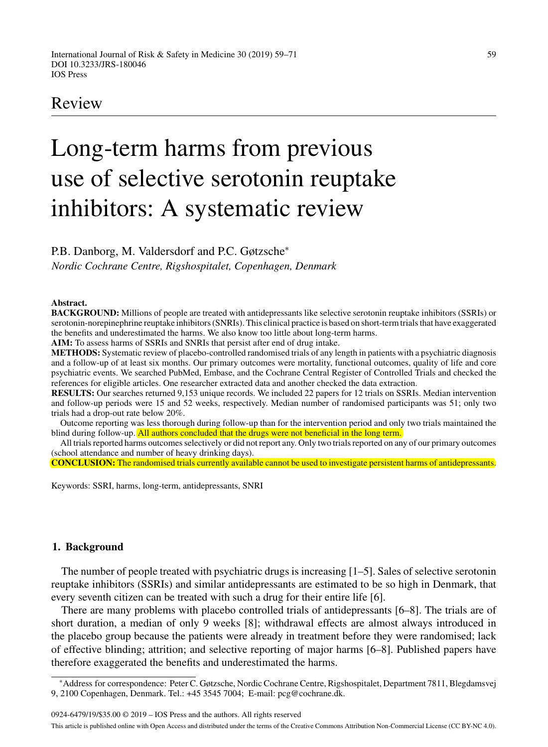## Review

# Long-term harms from previous use of selective serotonin reuptake inhibitors: A systematic review

P.B. Danborg, M. Valdersdorf and P.C. Gøtzsche<sup>∗</sup>

*Nordic Cochrane Centre, Rigshospitalet, Copenhagen, Denmark*

#### **Abstract.**

**BACKGROUND:** Millions of people are treated with antidepressants like selective serotonin reuptake inhibitors (SSRIs) or serotonin-norepinephrine reuptake inhibitors (SNRIs). This clinical practice is based on short-term trials that have exaggerated the benefits and underestimated the harms. We also know too little about long-term harms.

**AIM:** To assess harms of SSRIs and SNRIs that persist after end of drug intake.

**METHODS:** Systematic review of placebo-controlled randomised trials of any length in patients with a psychiatric diagnosis and a follow-up of at least six months. Our primary outcomes were mortality, functional outcomes, quality of life and core psychiatric events. We searched PubMed, Embase, and the Cochrane Central Register of Controlled Trials and checked the references for eligible articles. One researcher extracted data and another checked the data extraction.

**RESULTS:** Our searches returned 9,153 unique records. We included 22 papers for 12 trials on SSRIs. Median intervention and follow-up periods were 15 and 52 weeks, respectively. Median number of randomised participants was 51; only two trials had a drop-out rate below 20%.

Outcome reporting was less thorough during follow-up than for the intervention period and only two trials maintained the blind during follow-up. All authors concluded that the drugs were not beneficial in the long term.

All trials reported harms outcomes selectively or did not report any. Only two trials reported on any of our primary outcomes (school attendance and number of heavy drinking days).

**CONCLUSION:** The randomised trials currently available cannot be used to investigate persistent harms of antidepressants.

Keywords: SSRI, harms, long-term, antidepressants, SNRI

#### **1. Background**

The number of people treated with psychiatric drugs is increasing [1–5]. Sales of selective serotonin reuptake inhibitors (SSRIs) and similar antidepressants are estimated to be so high in Denmark, that every seventh citizen can be treated with such a drug for their entire life [6].

There are many problems with placebo controlled trials of antidepressants [6–8]. The trials are of short duration, a median of only 9 weeks [8]; withdrawal effects are almost always introduced in the placebo group because the patients were already in treatment before they were randomised; lack of effective blinding; attrition; and selective reporting of major harms [6–8]. Published papers have therefore exaggerated the benefits and underestimated the harms.

0924-6479/19/\$35.00 © 2019 – IOS Press and the authors. All rights reserved This article is published online with Open Access and distributed under the terms of the Creative Commons Attribution Non-Commercial License (CC BY-NC 4.0).

<sup>∗</sup>Address for correspondence: Peter C. Gøtzsche, Nordic Cochrane Centre, Rigshospitalet, Department 7811, Blegdamsvej 9, 2100 Copenhagen, Denmark. Tel.: +45 3545 7004; E-mail: [pcg@cochrane.dk.](mailto:pcg@cochrane.dk)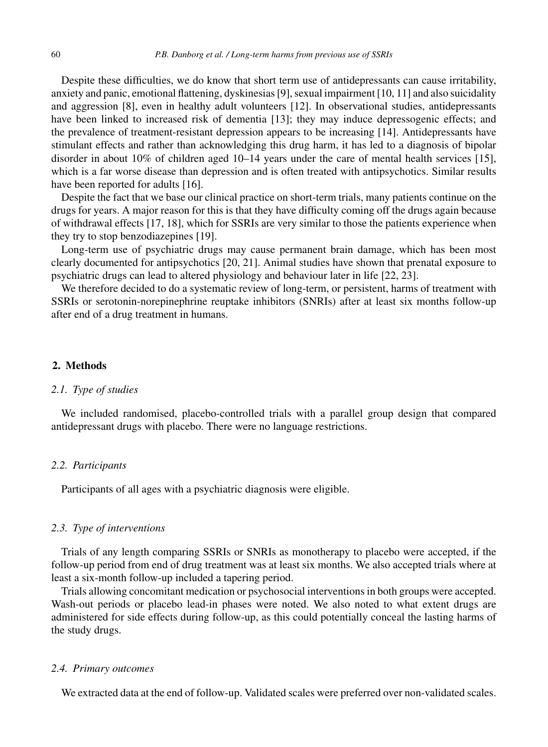Despite these difficulties, we do know that short term use of antidepressants can cause irritability, anxiety and panic, emotional flattening, dyskinesias [9], sexual impairment [10, 11] and also suicidality and aggression [8], even in healthy adult volunteers [12]. In observational studies, antidepressants have been linked to increased risk of dementia [13]; they may induce depressogenic effects; and the prevalence of treatment-resistant depression appears to be increasing [14]. Antidepressants have stimulant effects and rather than acknowledging this drug harm, it has led to a diagnosis of bipolar disorder in about 10% of children aged 10–14 years under the care of mental health services [15], which is a far worse disease than depression and is often treated with antipsychotics. Similar results have been reported for adults [16].

Despite the fact that we base our clinical practice on short-term trials, many patients continue on the drugs for years. A major reason for this is that they have difficulty coming off the drugs again because of withdrawal effects [17, 18], which for SSRIs are very similar to those the patients experience when they try to stop benzodiazepines [19].

Long-term use of psychiatric drugs may cause permanent brain damage, which has been most clearly documented for antipsychotics [20, 21]. Animal studies have shown that prenatal exposure to psychiatric drugs can lead to altered physiology and behaviour later in life [22, 23].

We therefore decided to do a systematic review of long-term, or persistent, harms of treatment with SSRIs or serotonin-norepinephrine reuptake inhibitors (SNRIs) after at least six months follow-up after end of a drug treatment in humans.

#### **2. Methods**

#### *2.1. Type of studies*

We included randomised, placebo-controlled trials with a parallel group design that compared antidepressant drugs with placebo. There were no language restrictions.

#### *2.2. Participants*

Participants of all ages with a psychiatric diagnosis were eligible.

#### *2.3. Type of interventions*

Trials of any length comparing SSRIs or SNRIs as monotherapy to placebo were accepted, if the follow-up period from end of drug treatment was at least six months. We also accepted trials where at least a six-month follow-up included a tapering period.

Trials allowing concomitant medication or psychosocial interventions in both groups were accepted. Wash-out periods or placebo lead-in phases were noted. We also noted to what extent drugs are administered for side effects during follow-up, as this could potentially conceal the lasting harms of the study drugs.

#### *2.4. Primary outcomes*

We extracted data at the end of follow-up. Validated scales were preferred over non-validated scales.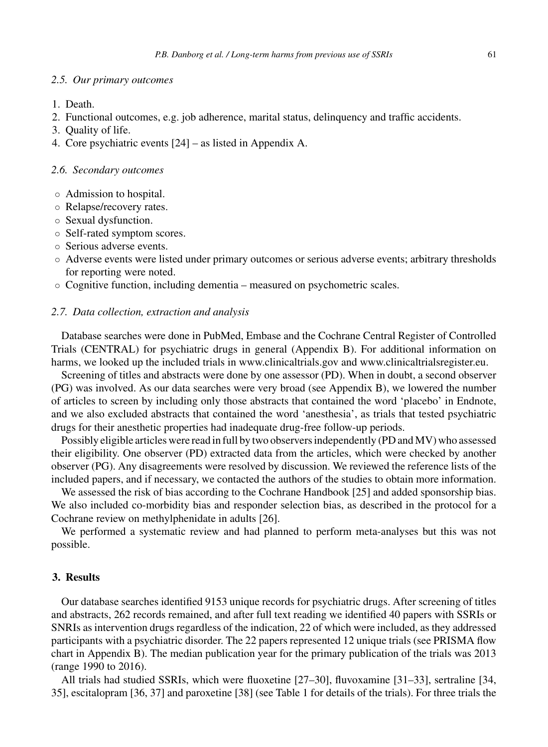#### *2.5. Our primary outcomes*

- 1. Death.
- 2. Functional outcomes, e.g. job adherence, marital status, delinquency and traffic accidents.
- 3. Quality of life.
- 4. Core psychiatric events [24] as listed in Appendix A.

#### *2.6. Secondary outcomes*

- Admission to hospital.
- Relapse/recovery rates.
- Sexual dysfunction.
- Self-rated symptom scores.
- Serious adverse events.
- Adverse events were listed under primary outcomes or serious adverse events; arbitrary thresholds for reporting were noted.
- Cognitive function, including dementia measured on psychometric scales.

#### *2.7. Data collection, extraction and analysis*

Database searches were done in PubMed, Embase and the Cochrane Central Register of Controlled Trials (CENTRAL) for psychiatric drugs in general (Appendix B). For additional information on harms, we looked up the included trials in<www.clinicaltrials.gov> and [www.clinicaltrialsregister.eu.](www.clinicaltrialsregister.eu)

Screening of titles and abstracts were done by one assessor (PD). When in doubt, a second observer (PG) was involved. As our data searches were very broad (see Appendix B), we lowered the number of articles to screen by including only those abstracts that contained the word 'placebo' in Endnote, and we also excluded abstracts that contained the word 'anesthesia', as trials that tested psychiatric drugs for their anesthetic properties had inadequate drug-free follow-up periods.

Possibly eligible articles were read in full by two observers independently (PD and MV) who assessed their eligibility. One observer (PD) extracted data from the articles, which were checked by another observer (PG). Any disagreements were resolved by discussion. We reviewed the reference lists of the included papers, and if necessary, we contacted the authors of the studies to obtain more information.

We assessed the risk of bias according to the Cochrane Handbook [25] and added sponsorship bias. We also included co-morbidity bias and responder selection bias, as described in the protocol for a Cochrane review on methylphenidate in adults [26].

We performed a systematic review and had planned to perform meta-analyses but this was not possible.

#### **3. Results**

Our database searches identified 9153 unique records for psychiatric drugs. After screening of titles and abstracts, 262 records remained, and after full text reading we identified 40 papers with SSRIs or SNRIs as intervention drugs regardless of the indication, 22 of which were included, as they addressed participants with a psychiatric disorder. The 22 papers represented 12 unique trials (see PRISMA flow chart in Appendix B). The median publication year for the primary publication of the trials was 2013 (range 1990 to 2016).

All trials had studied SSRIs, which were fluoxetine [27–30], fluvoxamine [31–33], sertraline [34, 35], escitalopram [36, 37] and paroxetine [38] (see Table 1 for details of the trials). For three trials the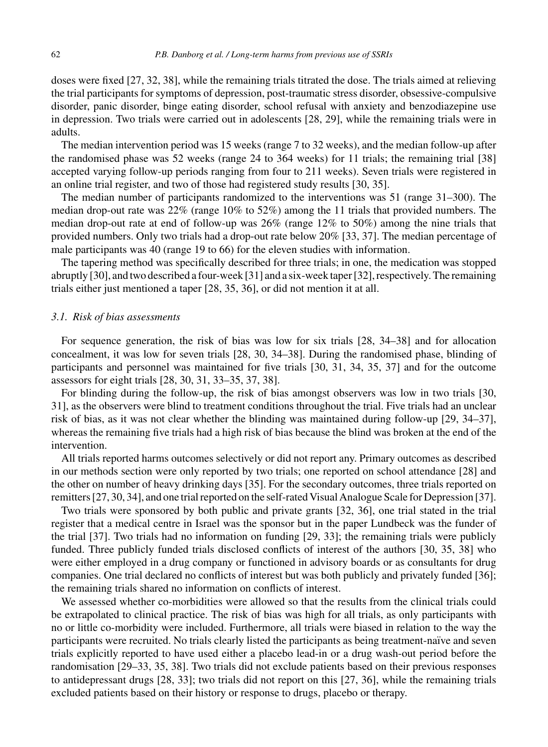doses were fixed [27, 32, 38], while the remaining trials titrated the dose. The trials aimed at relieving the trial participants for symptoms of depression, post-traumatic stress disorder, obsessive-compulsive disorder, panic disorder, binge eating disorder, school refusal with anxiety and benzodiazepine use in depression. Two trials were carried out in adolescents [28, 29], while the remaining trials were in adults.

The median intervention period was 15 weeks (range 7 to 32 weeks), and the median follow-up after the randomised phase was 52 weeks (range 24 to 364 weeks) for 11 trials; the remaining trial [38] accepted varying follow-up periods ranging from four to 211 weeks). Seven trials were registered in an online trial register, and two of those had registered study results [30, 35].

The median number of participants randomized to the interventions was 51 (range 31–300). The median drop-out rate was 22% (range 10% to 52%) among the 11 trials that provided numbers. The median drop-out rate at end of follow-up was 26% (range 12% to 50%) among the nine trials that provided numbers. Only two trials had a drop-out rate below 20% [33, 37]. The median percentage of male participants was 40 (range 19 to 66) for the eleven studies with information.

The tapering method was specifically described for three trials; in one, the medication was stopped abruptly [30], and two described a four-week [31] and a six-week taper [32], respectively. The remaining trials either just mentioned a taper [28, 35, 36], or did not mention it at all.

#### *3.1. Risk of bias assessments*

For sequence generation, the risk of bias was low for six trials [28, 34–38] and for allocation concealment, it was low for seven trials [28, 30, 34–38]. During the randomised phase, blinding of participants and personnel was maintained for five trials [30, 31, 34, 35, 37] and for the outcome assessors for eight trials [28, 30, 31, 33–35, 37, 38].

For blinding during the follow-up, the risk of bias amongst observers was low in two trials [30, 31], as the observers were blind to treatment conditions throughout the trial. Five trials had an unclear risk of bias, as it was not clear whether the blinding was maintained during follow-up [29, 34–37], whereas the remaining five trials had a high risk of bias because the blind was broken at the end of the intervention.

All trials reported harms outcomes selectively or did not report any. Primary outcomes as described in our methods section were only reported by two trials; one reported on school attendance [28] and the other on number of heavy drinking days [35]. For the secondary outcomes, three trials reported on remitters [27, 30, 34], and one trial reported on the self-rated Visual Analogue Scale for Depression [37].

Two trials were sponsored by both public and private grants [32, 36], one trial stated in the trial register that a medical centre in Israel was the sponsor but in the paper Lundbeck was the funder of the trial [37]. Two trials had no information on funding [29, 33]; the remaining trials were publicly funded. Three publicly funded trials disclosed conflicts of interest of the authors [30, 35, 38] who were either employed in a drug company or functioned in advisory boards or as consultants for drug companies. One trial declared no conflicts of interest but was both publicly and privately funded [36]; the remaining trials shared no information on conflicts of interest.

We assessed whether co-morbidities were allowed so that the results from the clinical trials could be extrapolated to clinical practice. The risk of bias was high for all trials, as only participants with no or little co-morbidity were included. Furthermore, all trials were biased in relation to the way the participants were recruited. No trials clearly listed the participants as being treatment-naïve and seven trials explicitly reported to have used either a placebo lead-in or a drug wash-out period before the randomisation [29–33, 35, 38]. Two trials did not exclude patients based on their previous responses to antidepressant drugs [28, 33]; two trials did not report on this [27, 36], while the remaining trials excluded patients based on their history or response to drugs, placebo or therapy.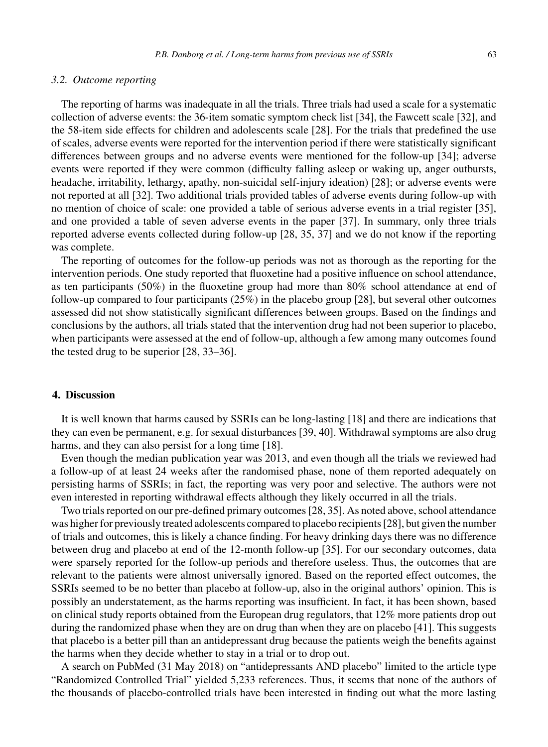#### *3.2. Outcome reporting*

The reporting of harms was inadequate in all the trials. Three trials had used a scale for a systematic collection of adverse events: the 36-item somatic symptom check list [34], the Fawcett scale [32], and the 58-item side effects for children and adolescents scale [28]. For the trials that predefined the use of scales, adverse events were reported for the intervention period if there were statistically significant differences between groups and no adverse events were mentioned for the follow-up [34]; adverse events were reported if they were common (difficulty falling asleep or waking up, anger outbursts, headache, irritability, lethargy, apathy, non-suicidal self-injury ideation) [28]; or adverse events were not reported at all [32]. Two additional trials provided tables of adverse events during follow-up with no mention of choice of scale: one provided a table of serious adverse events in a trial register [35], and one provided a table of seven adverse events in the paper [37]. In summary, only three trials reported adverse events collected during follow-up [28, 35, 37] and we do not know if the reporting was complete.

The reporting of outcomes for the follow-up periods was not as thorough as the reporting for the intervention periods. One study reported that fluoxetine had a positive influence on school attendance, as ten participants (50%) in the fluoxetine group had more than 80% school attendance at end of follow-up compared to four participants (25%) in the placebo group [28], but several other outcomes assessed did not show statistically significant differences between groups. Based on the findings and conclusions by the authors, all trials stated that the intervention drug had not been superior to placebo, when participants were assessed at the end of follow-up, although a few among many outcomes found the tested drug to be superior [28, 33–36].

#### **4. Discussion**

It is well known that harms caused by SSRIs can be long-lasting [18] and there are indications that they can even be permanent, e.g. for sexual disturbances [39, 40]. Withdrawal symptoms are also drug harms, and they can also persist for a long time [18].

Even though the median publication year was 2013, and even though all the trials we reviewed had a follow-up of at least 24 weeks after the randomised phase, none of them reported adequately on persisting harms of SSRIs; in fact, the reporting was very poor and selective. The authors were not even interested in reporting withdrawal effects although they likely occurred in all the trials.

Two trials reported on our pre-defined primary outcomes [28, 35]. As noted above, school attendance was higher for previously treated adolescents compared to placebo recipients [28], but given the number of trials and outcomes, this is likely a chance finding. For heavy drinking days there was no difference between drug and placebo at end of the 12-month follow-up [35]. For our secondary outcomes, data were sparsely reported for the follow-up periods and therefore useless. Thus, the outcomes that are relevant to the patients were almost universally ignored. Based on the reported effect outcomes, the SSRIs seemed to be no better than placebo at follow-up, also in the original authors' opinion. This is possibly an understatement, as the harms reporting was insufficient. In fact, it has been shown, based on clinical study reports obtained from the European drug regulators, that 12% more patients drop out during the randomized phase when they are on drug than when they are on placebo [41]. This suggests that placebo is a better pill than an antidepressant drug because the patients weigh the benefits against the harms when they decide whether to stay in a trial or to drop out.

A search on PubMed (31 May 2018) on "antidepressants AND placebo" limited to the article type "Randomized Controlled Trial" yielded 5,233 references. Thus, it seems that none of the authors of the thousands of placebo-controlled trials have been interested in finding out what the more lasting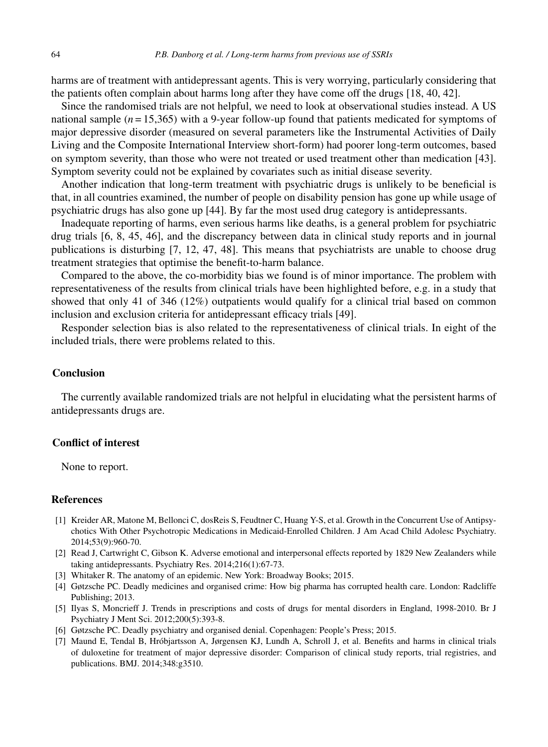harms are of treatment with antidepressant agents. This is very worrying, particularly considering that the patients often complain about harms long after they have come off the drugs [18, 40, 42].

Since the randomised trials are not helpful, we need to look at observational studies instead. A US national sample  $(n = 15,365)$  with a 9-year follow-up found that patients medicated for symptoms of major depressive disorder (measured on several parameters like the Instrumental Activities of Daily Living and the Composite International Interview short-form) had poorer long-term outcomes, based on symptom severity, than those who were not treated or used treatment other than medication [43]. Symptom severity could not be explained by covariates such as initial disease severity.

Another indication that long-term treatment with psychiatric drugs is unlikely to be beneficial is that, in all countries examined, the number of people on disability pension has gone up while usage of psychiatric drugs has also gone up [44]. By far the most used drug category is antidepressants.

Inadequate reporting of harms, even serious harms like deaths, is a general problem for psychiatric drug trials [6, 8, 45, 46], and the discrepancy between data in clinical study reports and in journal publications is disturbing [7, 12, 47, 48]. This means that psychiatrists are unable to choose drug treatment strategies that optimise the benefit-to-harm balance.

Compared to the above, the co-morbidity bias we found is of minor importance. The problem with representativeness of the results from clinical trials have been highlighted before, e.g. in a study that showed that only 41 of 346 (12%) outpatients would qualify for a clinical trial based on common inclusion and exclusion criteria for antidepressant efficacy trials [49].

Responder selection bias is also related to the representativeness of clinical trials. In eight of the included trials, there were problems related to this.

#### **Conclusion**

The currently available randomized trials are not helpful in elucidating what the persistent harms of antidepressants drugs are.

### **Conflict of interest**

None to report.

#### **References**

- [1] Kreider AR, Matone M, Bellonci C, dosReis S, Feudtner C, Huang Y-S, et al. Growth in the Concurrent Use of Antipsychotics With Other Psychotropic Medications in Medicaid-Enrolled Children. J Am Acad Child Adolesc Psychiatry. 2014;53(9):960-70.
- [2] Read J, Cartwright C, Gibson K. Adverse emotional and interpersonal effects reported by 1829 New Zealanders while taking antidepressants. Psychiatry Res. 2014;216(1):67-73.
- [3] Whitaker R. The anatomy of an epidemic. New York: Broadway Books; 2015.
- [4] Gøtzsche PC. Deadly medicines and organised crime: How big pharma has corrupted health care. London: Radcliffe Publishing; 2013.
- [5] Ilyas S, Moncrieff J. Trends in prescriptions and costs of drugs for mental disorders in England, 1998-2010. Br J Psychiatry J Ment Sci. 2012;200(5):393-8.
- [6] Gøtzsche PC. Deadly psychiatry and organised denial. Copenhagen: People's Press; 2015.
- [7] Maund E, Tendal B, Hrobjartsson A, Jørgensen KJ, Lundh A, Schroll J, et al. Benefits and harms in clinical trials ´ of duloxetine for treatment of major depressive disorder: Comparison of clinical study reports, trial registries, and publications. BMJ. 2014;348:g3510.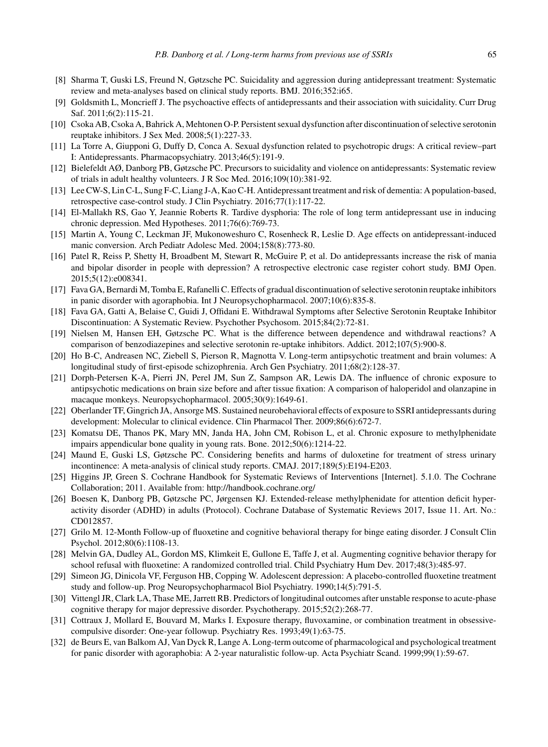- [8] Sharma T, Guski LS, Freund N, Gøtzsche PC. Suicidality and aggression during antidepressant treatment: Systematic review and meta-analyses based on clinical study reports. BMJ. 2016;352:i65.
- [9] Goldsmith L, Moncrieff J. The psychoactive effects of antidepressants and their association with suicidality. Curr Drug Saf. 2011;6(2):115-21.
- [10] Csoka AB, Csoka A, Bahrick A, Mehtonen O-P. Persistent sexual dysfunction after discontinuation of selective serotonin reuptake inhibitors. J Sex Med. 2008;5(1):227-33.
- [11] La Torre A, Giupponi G, Duffy D, Conca A. Sexual dysfunction related to psychotropic drugs: A critical review–part I: Antidepressants. Pharmacopsychiatry. 2013;46(5):191-9.
- [12] Bielefeldt AØ, Danborg PB, Gøtzsche PC. Precursors to suicidality and violence on antidepressants: Systematic review of trials in adult healthy volunteers. J R Soc Med. 2016;109(10):381-92.
- [13] Lee CW-S, Lin C-L, Sung F-C, Liang J-A, Kao C-H. Antidepressant treatment and risk of dementia: A population-based, retrospective case-control study. J Clin Psychiatry. 2016;77(1):117-22.
- [14] El-Mallakh RS, Gao Y, Jeannie Roberts R. Tardive dysphoria: The role of long term antidepressant use in inducing chronic depression. Med Hypotheses. 2011;76(6):769-73.
- [15] Martin A, Young C, Leckman JF, Mukonoweshuro C, Rosenheck R, Leslie D. Age effects on antidepressant-induced manic conversion. Arch Pediatr Adolesc Med. 2004;158(8):773-80.
- [16] Patel R, Reiss P, Shetty H, Broadbent M, Stewart R, McGuire P, et al. Do antidepressants increase the risk of mania and bipolar disorder in people with depression? A retrospective electronic case register cohort study. BMJ Open. 2015;5(12):e008341.
- [17] Fava GA, Bernardi M, Tomba E, Rafanelli C. Effects of gradual discontinuation of selective serotonin reuptake inhibitors in panic disorder with agoraphobia. Int J Neuropsychopharmacol. 2007;10(6):835-8.
- [18] Fava GA, Gatti A, Belaise C, Guidi J, Offidani E. Withdrawal Symptoms after Selective Serotonin Reuptake Inhibitor Discontinuation: A Systematic Review. Psychother Psychosom. 2015;84(2):72-81.
- [19] Nielsen M, Hansen EH, Gøtzsche PC. What is the difference between dependence and withdrawal reactions? A comparison of benzodiazepines and selective serotonin re-uptake inhibitors. Addict. 2012;107(5):900-8.
- [20] Ho B-C, Andreasen NC, Ziebell S, Pierson R, Magnotta V. Long-term antipsychotic treatment and brain volumes: A longitudinal study of first-episode schizophrenia. Arch Gen Psychiatry. 2011;68(2):128-37.
- [21] Dorph-Petersen K-A, Pierri JN, Perel JM, Sun Z, Sampson AR, Lewis DA. The influence of chronic exposure to antipsychotic medications on brain size before and after tissue fixation: A comparison of haloperidol and olanzapine in macaque monkeys. Neuropsychopharmacol. 2005;30(9):1649-61.
- [22] Oberlander TF, Gingrich JA, Ansorge MS. Sustained neurobehavioral effects of exposure to SSRI antidepressants during development: Molecular to clinical evidence. Clin Pharmacol Ther. 2009;86(6):672-7.
- [23] Komatsu DE, Thanos PK, Mary MN, Janda HA, John CM, Robison L, et al. Chronic exposure to methylphenidate impairs appendicular bone quality in young rats. Bone. 2012;50(6):1214-22.
- [24] Maund E, Guski LS, Gøtzsche PC. Considering benefits and harms of duloxetine for treatment of stress urinary incontinence: A meta-analysis of clinical study reports. CMAJ. 2017;189(5):E194-E203.
- [25] Higgins JP, Green S. Cochrane Handbook for Systematic Reviews of Interventions [Internet]. 5.1.0. The Cochrane Collaboration; 2011. Available from:<http://handbook.cochrane.org/>
- [26] Boesen K, Danborg PB, Gøtzsche PC, Jørgensen KJ. Extended-release methylphenidate for attention deficit hyperactivity disorder (ADHD) in adults (Protocol). Cochrane Database of Systematic Reviews 2017, Issue 11. Art. No.: CD012857.
- [27] Grilo M. 12-Month Follow-up of fluoxetine and cognitive behavioral therapy for binge eating disorder. J Consult Clin Psychol. 2012;80(6):1108-13.
- [28] Melvin GA, Dudley AL, Gordon MS, Klimkeit E, Gullone E, Taffe J, et al. Augmenting cognitive behavior therapy for school refusal with fluoxetine: A randomized controlled trial. Child Psychiatry Hum Dev. 2017;48(3):485-97.
- [29] Simeon JG, Dinicola VF, Ferguson HB, Copping W. Adolescent depression: A placebo-controlled fluoxetine treatment study and follow-up. Prog Neuropsychopharmacol Biol Psychiatry. 1990;14(5):791-5.
- [30] Vittengl JR, Clark LA, Thase ME, Jarrett RB. Predictors of longitudinal outcomes after unstable response to acute-phase cognitive therapy for major depressive disorder. Psychotherapy. 2015;52(2):268-77.
- [31] Cottraux J, Mollard E, Bouvard M, Marks I. Exposure therapy, fluvoxamine, or combination treatment in obsessivecompulsive disorder: One-year followup. Psychiatry Res. 1993;49(1):63-75.
- [32] de Beurs E, van Balkom AJ, Van Dyck R, Lange A. Long-term outcome of pharmacological and psychological treatment for panic disorder with agoraphobia: A 2-year naturalistic follow-up. Acta Psychiatr Scand. 1999;99(1):59-67.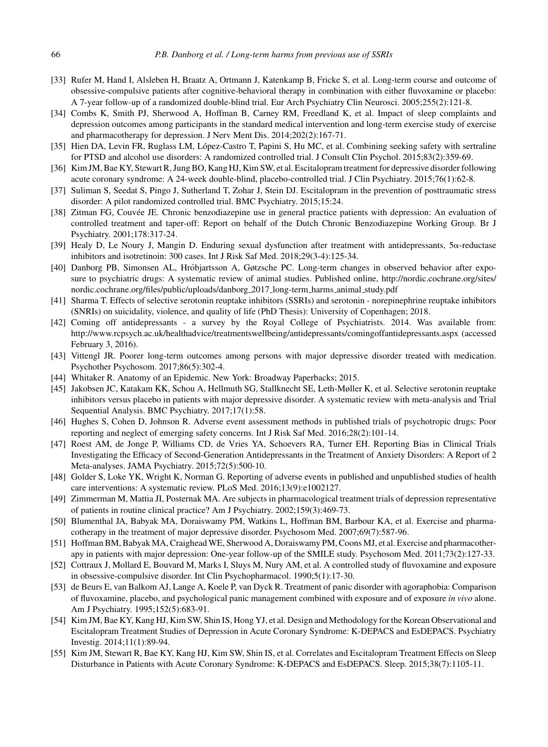- [33] Rufer M, Hand I, Alsleben H, Braatz A, Ortmann J, Katenkamp B, Fricke S, et al. Long-term course and outcome of obsessive-compulsive patients after cognitive-behavioral therapy in combination with either fluvoxamine or placebo: A 7-year follow-up of a randomized double-blind trial. Eur Arch Psychiatry Clin Neurosci. 2005;255(2):121-8.
- [34] Combs K, Smith PJ, Sherwood A, Hoffman B, Carney RM, Freedland K, et al. Impact of sleep complaints and depression outcomes among participants in the standard medical intervention and long-term exercise study of exercise and pharmacotherapy for depression. J Nerv Ment Dis. 2014;202(2):167-71.
- [35] Hien DA, Levin FR, Ruglass LM, López-Castro T, Papini S, Hu MC, et al. Combining seeking safety with sertraline for PTSD and alcohol use disorders: A randomized controlled trial. J Consult Clin Psychol. 2015;83(2):359-69.
- [36] Kim JM, Bae KY, Stewart R, Jung BO, Kang HJ, Kim SW, et al. Escitalopram treatment for depressive disorder following acute coronary syndrome: A 24-week double-blind, placebo-controlled trial. J Clin Psychiatry. 2015;76(1):62-8.
- [37] Suliman S, Seedat S, Pingo J, Sutherland T, Zohar J, Stein DJ. Escitalopram in the prevention of posttraumatic stress disorder: A pilot randomized controlled trial. BMC Psychiatry. 2015;15:24.
- [38] Zitman FG, Couvée JE. Chronic benzodiazepine use in general practice patients with depression: An evaluation of controlled treatment and taper-off: Report on behalf of the Dutch Chronic Benzodiazepine Working Group. Br J Psychiatry. 2001;178:317-24.
- [39] Healy D, Le Noury J, Mangin D. Enduring sexual dysfunction after treatment with antidepressants, 5 $\alpha$ -reductase inhibitors and isotretinoin: 300 cases. Int J Risk Saf Med. 2018;29(3-4):125-34.
- [40] Danborg PB, Simonsen AL, Hróbjartsson A, Gøtzsche PC. Long-term changes in observed behavior after exposure to psychiatric drugs: A systematic review of animal studies. Published online, [http://nordic.cochrane.org/sites/](http://nordic.cochrane.org/sites/nordic.cochrane.org/files/public/uploads/danborg_2017_long-term_harms_animal_study.pdf) [nordic.cochrane.org/files/public/uploads/danborg](http://nordic.cochrane.org/sites/nordic.cochrane.org/files/public/uploads/danborg_2017_long-term_harms_animal_study.pdf) 2017 long-term harms animal study.pdf
- [41] Sharma T. Effects of selective serotonin reuptake inhibitors (SSRIs) and serotonin norepinephrine reuptake inhibitors (SNRIs) on suicidality, violence, and quality of life (PhD Thesis): University of Copenhagen; 2018.
- [42] Coming off antidepressants a survey by the Royal College of Psychiatrists. 2014. Was available from: <http://www.rcpsych.ac.uk/healthadvice/treatmentswellbeing/antidepressants/comingoffantidepressants.aspx> (accessed February 3, 2016).
- [43] Vittengl JR. Poorer long-term outcomes among persons with major depressive disorder treated with medication. Psychother Psychosom. 2017;86(5):302-4.
- [44] Whitaker R. Anatomy of an Epidemic. New York: Broadway Paperbacks; 2015.
- [45] Jakobsen JC, Katakam KK, Schou A, Hellmuth SG, Stallknecht SE, Leth-Møller K, et al. Selective serotonin reuptake inhibitors versus placebo in patients with major depressive disorder. A systematic review with meta-analysis and Trial Sequential Analysis. BMC Psychiatry. 2017;17(1):58.
- [46] Hughes S, Cohen D, Johnson R. Adverse event assessment methods in published trials of psychotropic drugs: Poor reporting and neglect of emerging safety concerns. Int J Risk Saf Med. 2016;28(2):101-14.
- [47] Roest AM, de Jonge P, Williams CD, de Vries YA, Schoevers RA, Turner EH. Reporting Bias in Clinical Trials Investigating the Efficacy of Second-Generation Antidepressants in the Treatment of Anxiety Disorders: A Report of 2 Meta-analyses. JAMA Psychiatry. 2015;72(5):500-10.
- [48] Golder S, Loke YK, Wright K, Norman G. Reporting of adverse events in published and unpublished studies of health care interventions: A systematic review. PLoS Med. 2016;13(9):e1002127.
- [49] Zimmerman M, Mattia JI, Posternak MA. Are subjects in pharmacological treatment trials of depression representative of patients in routine clinical practice? Am J Psychiatry. 2002;159(3):469-73.
- [50] Blumenthal JA, Babyak MA, Doraiswamy PM, Watkins L, Hoffman BM, Barbour KA, et al. Exercise and pharmacotherapy in the treatment of major depressive disorder. Psychosom Med. 2007;69(7):587-96.
- [51] Hoffman BM, Babyak MA, Craighead WE, Sherwood A, Doraiswamy PM, Coons MJ, et al. Exercise and pharmacotherapy in patients with major depression: One-year follow-up of the SMILE study. Psychosom Med. 2011;73(2):127-33.
- [52] Cottraux J, Mollard E, Bouvard M, Marks I, Sluys M, Nury AM, et al. A controlled study of fluvoxamine and exposure in obsessive-compulsive disorder. Int Clin Psychopharmacol. 1990;5(1):17-30.
- [53] de Beurs E, van Balkom AJ, Lange A, Koele P, van Dyck R. Treatment of panic disorder with agoraphobia: Comparison of fluvoxamine, placebo, and psychological panic management combined with exposure and of exposure *in vivo* alone. Am J Psychiatry. 1995;152(5):683-91.
- [54] Kim JM, Bae KY, Kang HJ, Kim SW, Shin IS, Hong YJ, et al. Design and Methodology for the Korean Observational and Escitalopram Treatment Studies of Depression in Acute Coronary Syndrome: K-DEPACS and EsDEPACS. Psychiatry Investig. 2014;11(1):89-94.
- [55] Kim JM, Stewart R, Bae KY, Kang HJ, Kim SW, Shin IS, et al. Correlates and Escitalopram Treatment Effects on Sleep Disturbance in Patients with Acute Coronary Syndrome: K-DEPACS and EsDEPACS. Sleep. 2015;38(7):1105-11.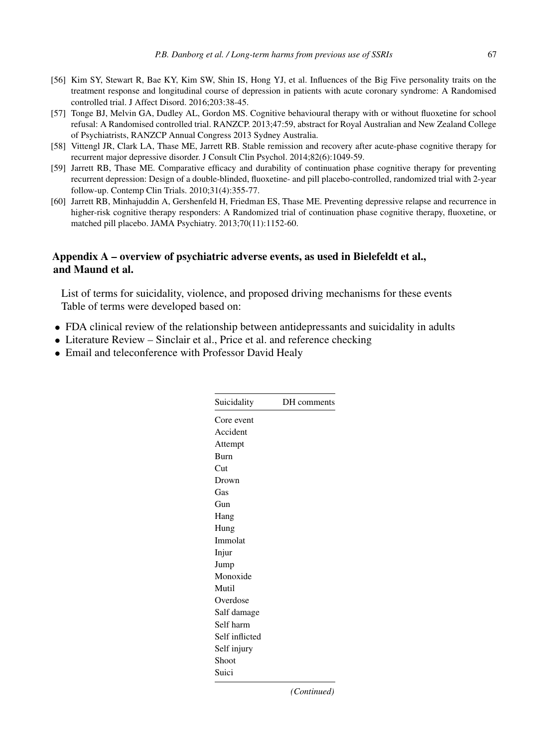- [56] Kim SY, Stewart R, Bae KY, Kim SW, Shin IS, Hong YJ, et al. Influences of the Big Five personality traits on the treatment response and longitudinal course of depression in patients with acute coronary syndrome: A Randomised controlled trial. J Affect Disord. 2016;203:38-45.
- [57] Tonge BJ, Melvin GA, Dudley AL, Gordon MS. Cognitive behavioural therapy with or without fluoxetine for school refusal: A Randomised controlled trial. RANZCP. 2013;47:59, abstract for Royal Australian and New Zealand College of Psychiatrists, RANZCP Annual Congress 2013 Sydney Australia.
- [58] Vittengl JR, Clark LA, Thase ME, Jarrett RB. Stable remission and recovery after acute-phase cognitive therapy for recurrent major depressive disorder. J Consult Clin Psychol. 2014;82(6):1049-59.
- [59] Jarrett RB, Thase ME. Comparative efficacy and durability of continuation phase cognitive therapy for preventing recurrent depression: Design of a double-blinded, fluoxetine- and pill placebo-controlled, randomized trial with 2-year follow-up. Contemp Clin Trials. 2010;31(4):355-77.
- [60] Jarrett RB, Minhajuddin A, Gershenfeld H, Friedman ES, Thase ME. Preventing depressive relapse and recurrence in higher-risk cognitive therapy responders: A Randomized trial of continuation phase cognitive therapy, fluoxetine, or matched pill placebo. JAMA Psychiatry. 2013;70(11):1152-60.

#### **Appendix A – overview of psychiatric adverse events, as used in Bielefeldt et al., and Maund et al.**

List of terms for suicidality, violence, and proposed driving mechanisms for these events Table of terms were developed based on:

- FDA clinical review of the relationship between antidepressants and suicidality in adults
- Literature Review Sinclair et al., Price et al. and reference checking
- Email and teleconference with Professor David Healy

| Suicidality    | DH comments |
|----------------|-------------|
| Core event     |             |
| Accident       |             |
| Attempt        |             |
| Burn           |             |
| Cut            |             |
| Drown          |             |
| Gas            |             |
| Gun            |             |
| Hang           |             |
| Hung           |             |
| Immolat        |             |
| Injur          |             |
| Jump           |             |
| Monoxide       |             |
| Mutil          |             |
| Overdose       |             |
| Salf damage    |             |
| Self harm      |             |
| Self inflicted |             |
| Self injury    |             |
| Shoot          |             |
| Suici          |             |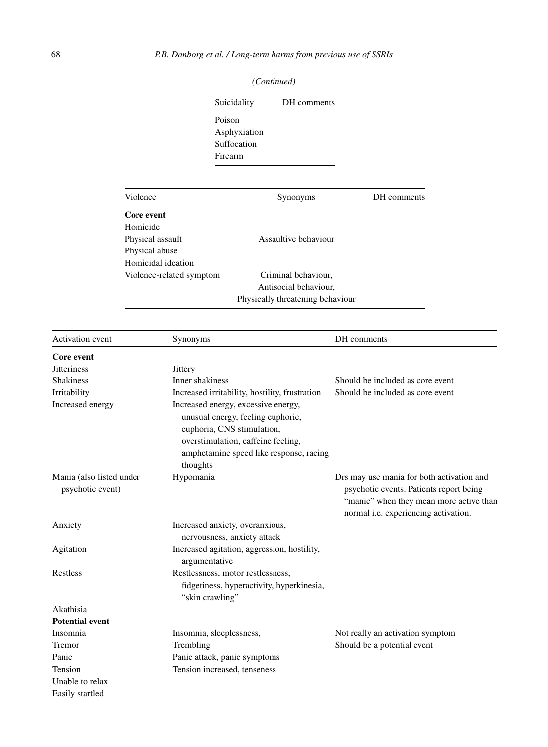| Suicidality  | DH comments |
|--------------|-------------|
| Poison       |             |
| Asphyxiation |             |
| Suffocation  |             |
| Firearm      |             |

| Violence                 | Synonyms                         | DH comments |
|--------------------------|----------------------------------|-------------|
| Core event               |                                  |             |
| Homicide                 |                                  |             |
| Physical assault         | Assaultive behaviour             |             |
| Physical abuse           |                                  |             |
| Homicidal ideation       |                                  |             |
| Violence-related symptom | Criminal behaviour,              |             |
|                          | Antisocial behaviour,            |             |
|                          | Physically threatening behaviour |             |

| <b>Activation</b> event  | Synonyms                                                                                                                                                                                | DH comments                                                                                                                                                             |
|--------------------------|-----------------------------------------------------------------------------------------------------------------------------------------------------------------------------------------|-------------------------------------------------------------------------------------------------------------------------------------------------------------------------|
| Core event               |                                                                                                                                                                                         |                                                                                                                                                                         |
| <b>Jitteriness</b>       | Jittery                                                                                                                                                                                 |                                                                                                                                                                         |
| <b>Shakiness</b>         | Inner shakiness                                                                                                                                                                         | Should be included as core event                                                                                                                                        |
| Irritability             | Increased irritability, hostility, frustration                                                                                                                                          | Should be included as core event                                                                                                                                        |
| Increased energy         | Increased energy, excessive energy,<br>unusual energy, feeling euphoric,<br>euphoria, CNS stimulation,<br>overstimulation, caffeine feeling,<br>amphetamine speed like response, racing |                                                                                                                                                                         |
| Mania (also listed under | thoughts<br>Hypomania                                                                                                                                                                   |                                                                                                                                                                         |
| psychotic event)         |                                                                                                                                                                                         | Drs may use mania for both activation and<br>psychotic events. Patients report being<br>"manic" when they mean more active than<br>normal i.e. experiencing activation. |
| Anxiety                  | Increased anxiety, overanxious,                                                                                                                                                         |                                                                                                                                                                         |
|                          | nervousness, anxiety attack                                                                                                                                                             |                                                                                                                                                                         |
| Agitation                | Increased agitation, aggression, hostility,                                                                                                                                             |                                                                                                                                                                         |
|                          | argumentative                                                                                                                                                                           |                                                                                                                                                                         |
| Restless                 | Restlessness, motor restlessness,                                                                                                                                                       |                                                                                                                                                                         |
|                          | fidgetiness, hyperactivity, hyperkinesia,<br>"skin crawling"                                                                                                                            |                                                                                                                                                                         |
| Akathisia                |                                                                                                                                                                                         |                                                                                                                                                                         |
| <b>Potential event</b>   |                                                                                                                                                                                         |                                                                                                                                                                         |
| Insomnia                 | Insomnia, sleeplessness,                                                                                                                                                                | Not really an activation symptom                                                                                                                                        |
| Tremor                   | Trembling                                                                                                                                                                               | Should be a potential event                                                                                                                                             |
| Panic                    | Panic attack, panic symptoms                                                                                                                                                            |                                                                                                                                                                         |
| Tension                  | Tension increased, tenseness                                                                                                                                                            |                                                                                                                                                                         |
| Unable to relax          |                                                                                                                                                                                         |                                                                                                                                                                         |
| Easily startled          |                                                                                                                                                                                         |                                                                                                                                                                         |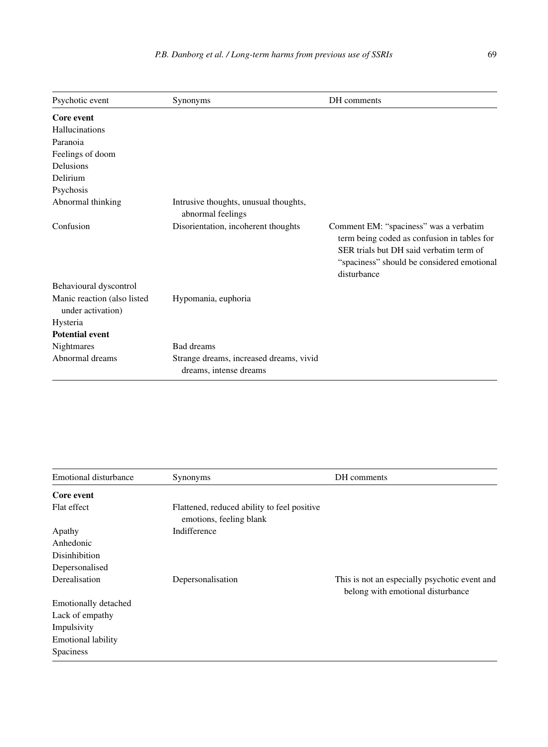| Psychotic event                                  | Synonyms                                                          | DH comments                                                                                                                                                                                   |
|--------------------------------------------------|-------------------------------------------------------------------|-----------------------------------------------------------------------------------------------------------------------------------------------------------------------------------------------|
| Core event                                       |                                                                   |                                                                                                                                                                                               |
| Hallucinations                                   |                                                                   |                                                                                                                                                                                               |
| Paranoia                                         |                                                                   |                                                                                                                                                                                               |
| Feelings of doom                                 |                                                                   |                                                                                                                                                                                               |
| <b>Delusions</b>                                 |                                                                   |                                                                                                                                                                                               |
| Delirium                                         |                                                                   |                                                                                                                                                                                               |
| Psychosis                                        |                                                                   |                                                                                                                                                                                               |
| Abnormal thinking                                | Intrusive thoughts, unusual thoughts,<br>abnormal feelings        |                                                                                                                                                                                               |
| Confusion                                        | Disorientation, incoherent thoughts                               | Comment EM: "spaciness" was a verbatim<br>term being coded as confusion in tables for<br>SER trials but DH said verbatim term of<br>"spaciness" should be considered emotional<br>disturbance |
| Behavioural dyscontrol                           |                                                                   |                                                                                                                                                                                               |
| Manic reaction (also listed<br>under activation) | Hypomania, euphoria                                               |                                                                                                                                                                                               |
| Hysteria                                         |                                                                   |                                                                                                                                                                                               |
| <b>Potential event</b>                           |                                                                   |                                                                                                                                                                                               |
| <b>Nightmares</b>                                | Bad dreams                                                        |                                                                                                                                                                                               |
| Abnormal dreams                                  | Strange dreams, increased dreams, vivid<br>dreams, intense dreams |                                                                                                                                                                                               |

| Emotional disturbance       | Synonyms                                                               | DH comments                                                                        |
|-----------------------------|------------------------------------------------------------------------|------------------------------------------------------------------------------------|
| Core event                  |                                                                        |                                                                                    |
| Flat effect                 | Flattened, reduced ability to feel positive<br>emotions, feeling blank |                                                                                    |
| Apathy                      | Indifference                                                           |                                                                                    |
| Anhedonic                   |                                                                        |                                                                                    |
| <b>Disinhibition</b>        |                                                                        |                                                                                    |
| Depersonalised              |                                                                        |                                                                                    |
| Derealisation               | Depersonalisation                                                      | This is not an especially psychotic event and<br>belong with emotional disturbance |
| <b>Emotionally detached</b> |                                                                        |                                                                                    |
| Lack of empathy             |                                                                        |                                                                                    |
| Impulsivity                 |                                                                        |                                                                                    |
| <b>Emotional lability</b>   |                                                                        |                                                                                    |
| Spaciness                   |                                                                        |                                                                                    |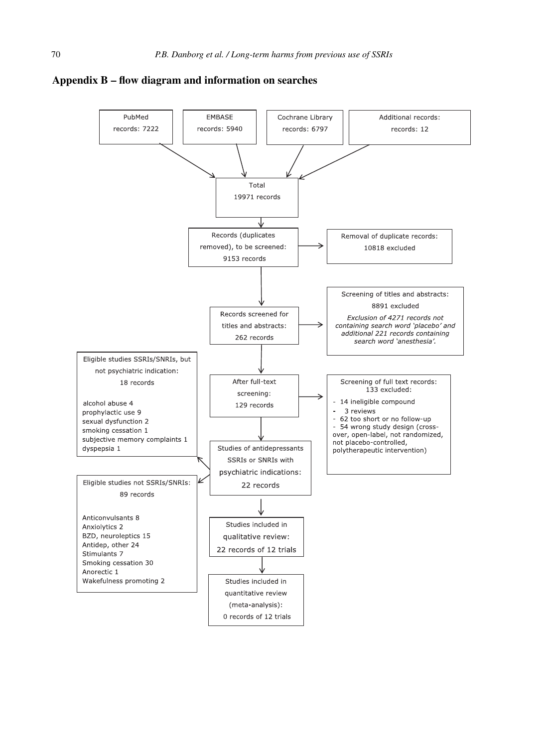

#### **Appendix B – flow diagram and information on searches**